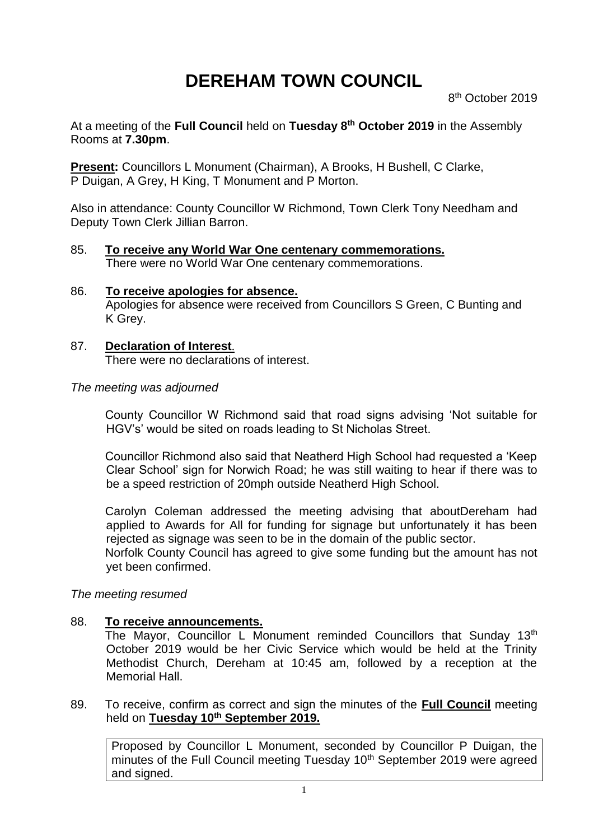# **DEREHAM TOWN COUNCIL**

At a meeting of the **Full Council** held on **Tuesday 8 th October 2019** in the Assembly Rooms at **7.30pm**.

**Present:** Councillors L Monument (Chairman), A Brooks, H Bushell, C Clarke, P Duigan, A Grey, H King, T Monument and P Morton.

Also in attendance: County Councillor W Richmond, Town Clerk Tony Needham and Deputy Town Clerk Jillian Barron.

- 85. **To receive any World War One centenary commemorations.** There were no World War One centenary commemorations.
- 86. **To receive apologies for absence.** Apologies for absence were received from Councillors S Green, C Bunting and K Grey.
- 87. **Declaration of Interest**. There were no declarations of interest.

#### *The meeting was adjourned*

County Councillor W Richmond said that road signs advising 'Not suitable for HGV's' would be sited on roads leading to St Nicholas Street.

Councillor Richmond also said that Neatherd High School had requested a 'Keep Clear School' sign for Norwich Road; he was still waiting to hear if there was to be a speed restriction of 20mph outside Neatherd High School.

Carolyn Coleman addressed the meeting advising that aboutDereham had applied to Awards for All for funding for signage but unfortunately it has been rejected as signage was seen to be in the domain of the public sector.

Norfolk County Council has agreed to give some funding but the amount has not yet been confirmed.

#### *The meeting resumed*

#### 88. **To receive announcements.**

The Mayor, Councillor L Monument reminded Councillors that Sunday 13<sup>th</sup> October 2019 would be her Civic Service which would be held at the Trinity Methodist Church, Dereham at 10:45 am, followed by a reception at the Memorial Hall.

89. To receive, confirm as correct and sign the minutes of the **Full Council** meeting held on **Tuesday 10th September 2019.**

Proposed by Councillor L Monument, seconded by Councillor P Duigan, the minutes of the Full Council meeting Tuesday 10<sup>th</sup> September 2019 were agreed and signed.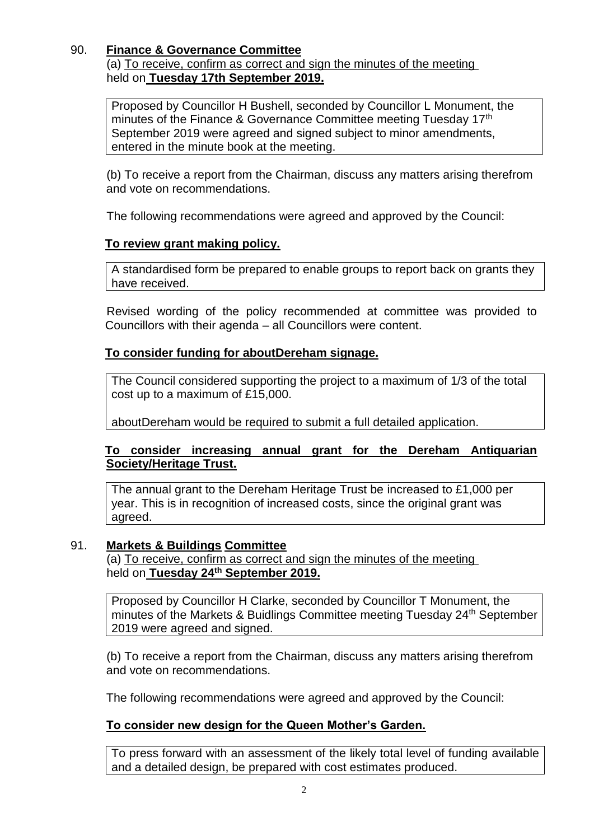# 90. **Finance & Governance Committee**

(a) To receive, confirm as correct and sign the minutes of the meeting held on **Tuesday 17th September 2019.**

Proposed by Councillor H Bushell, seconded by Councillor L Monument, the minutes of the Finance & Governance Committee meeting Tuesday 17<sup>th</sup> September 2019 were agreed and signed subject to minor amendments, entered in the minute book at the meeting.

(b) To receive a report from the Chairman, discuss any matters arising therefrom and vote on recommendations.

The following recommendations were agreed and approved by the Council:

# **To review grant making policy.**

A standardised form be prepared to enable groups to report back on grants they have received.

Revised wording of the policy recommended at committee was provided to Councillors with their agenda – all Councillors were content.

## **To consider funding for aboutDereham signage.**

The Council considered supporting the project to a maximum of 1/3 of the total cost up to a maximum of £15,000.

aboutDereham would be required to submit a full detailed application.

## **To consider increasing annual grant for the Dereham Antiquarian Society/Heritage Trust.**

The annual grant to the Dereham Heritage Trust be increased to £1,000 per year. This is in recognition of increased costs, since the original grant was agreed.

#### 91. **Markets & Buildings Committee**

(a) To receive, confirm as correct and sign the minutes of the meeting held on **Tuesday 24th September 2019.**

Proposed by Councillor H Clarke, seconded by Councillor T Monument, the minutes of the Markets & Buidlings Committee meeting Tuesday 24<sup>th</sup> September 2019 were agreed and signed.

(b) To receive a report from the Chairman, discuss any matters arising therefrom and vote on recommendations.

The following recommendations were agreed and approved by the Council:

# **To consider new design for the Queen Mother's Garden.**

To press forward with an assessment of the likely total level of funding available and a detailed design, be prepared with cost estimates produced.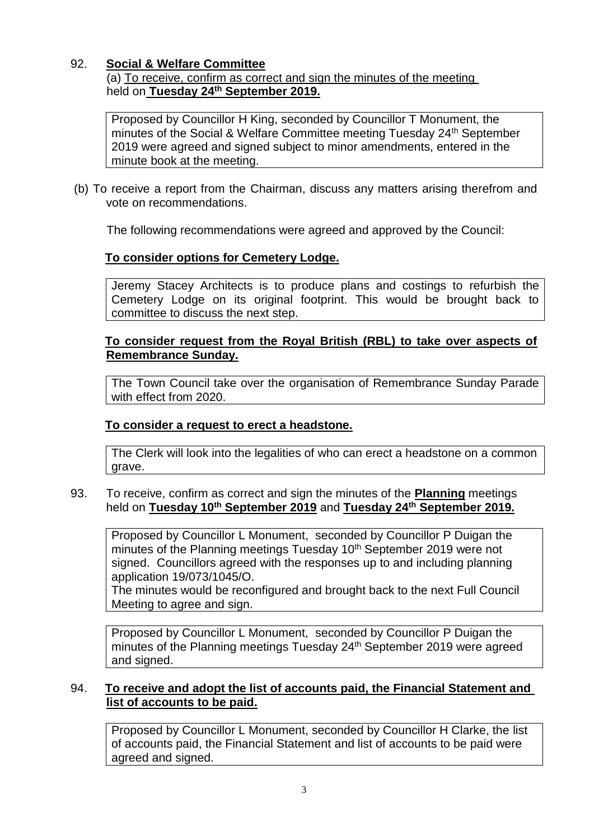## 92. **Social & Welfare Committee**

(a) To receive, confirm as correct and sign the minutes of the meeting held on **Tuesday 24th September 2019.**

Proposed by Councillor H King, seconded by Councillor T Monument, the minutes of the Social & Welfare Committee meeting Tuesday 24<sup>th</sup> September 2019 were agreed and signed subject to minor amendments, entered in the minute book at the meeting.

(b) To receive a report from the Chairman, discuss any matters arising therefrom and vote on recommendations.

The following recommendations were agreed and approved by the Council:

# **To consider options for Cemetery Lodge.**

Jeremy Stacey Architects is to produce plans and costings to refurbish the Cemetery Lodge on its original footprint. This would be brought back to committee to discuss the next step.

## **To consider request from the Royal British (RBL) to take over aspects of Remembrance Sunday.**

The Town Council take over the organisation of Remembrance Sunday Parade with effect from 2020.

# **To consider a request to erect a headstone.**

The Clerk will look into the legalities of who can erect a headstone on a common grave.

93. To receive, confirm as correct and sign the minutes of the **Planning** meetings held on **Tuesday 10th September 2019** and **Tuesday 24th September 2019.**

Proposed by Councillor L Monument, seconded by Councillor P Duigan the minutes of the Planning meetings Tuesday 10<sup>th</sup> September 2019 were not signed. Councillors agreed with the responses up to and including planning application 19/073/1045/O.

The minutes would be reconfigured and brought back to the next Full Council Meeting to agree and sign.

Proposed by Councillor L Monument, seconded by Councillor P Duigan the minutes of the Planning meetings Tuesday 24<sup>th</sup> September 2019 were agreed and signed.

#### 94. **To receive and adopt the list of accounts paid, the Financial Statement and list of accounts to be paid.**

Proposed by Councillor L Monument, seconded by Councillor H Clarke, the list of accounts paid, the Financial Statement and list of accounts to be paid were agreed and signed.